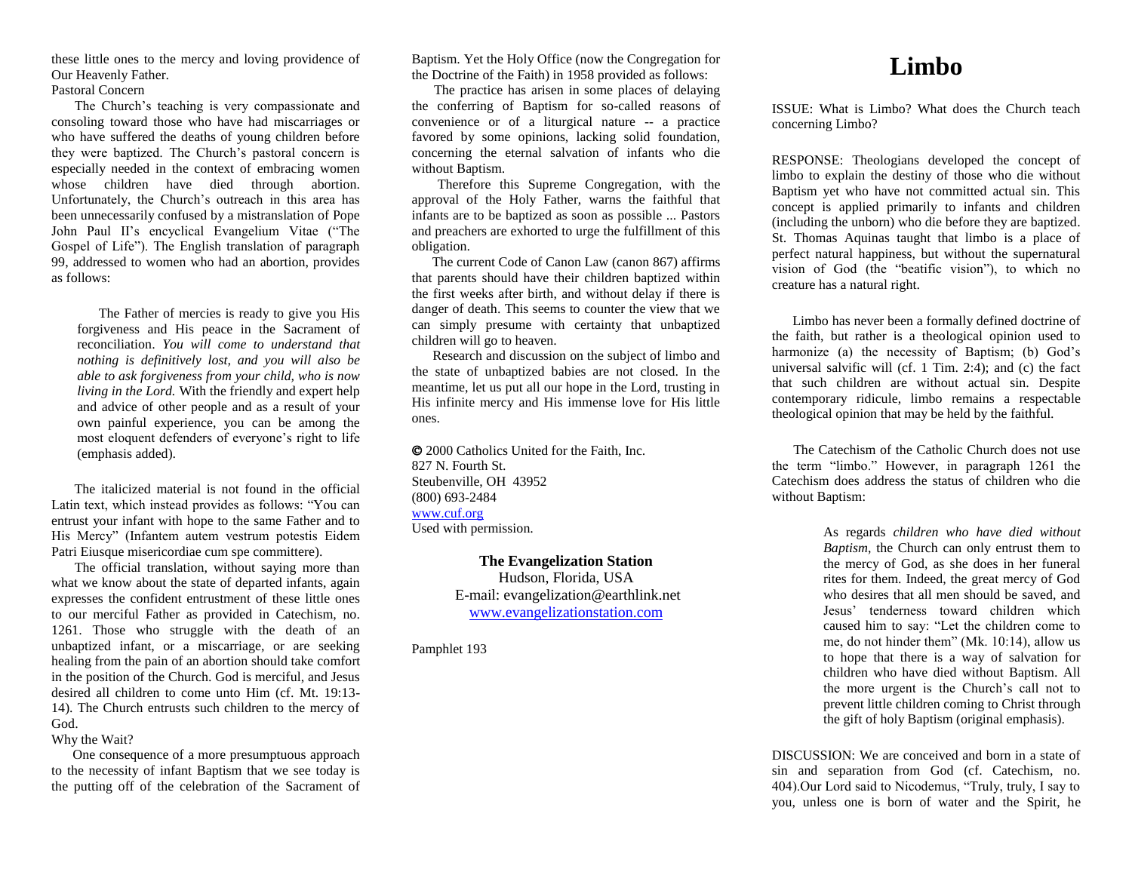these little ones to the mercy and loving providence of Our Heavenly Father.

Pastoral Concern

 The Church's teaching is very compassionate and consoling toward those who have had miscarriages or who have suffered the deaths of young children before they were baptized. The Church's pastoral concern is especially needed in the context of embracing women whose children have died through abortion. Unfortunately, the Church's outreach in this area has been unnecessarily confused by a mistranslation of Pope John Paul II's encyclical Evangelium Vitae ("The Gospel of Life"). The English translation of paragraph 99, addressed to women who had an abortion, provides as follows:

 The Father of mercies is ready to give you His forgiveness and His peace in the Sacrament of reconciliation. *You will come to understand that nothing is definitively lost, and you will also be able to ask forgiveness from your child, who is now living in the Lord.* With the friendly and expert help and advice of other people and as a result of your own painful experience, you can be among the most eloquent defenders of everyone's right to life (emphasis added).

 The italicized material is not found in the official Latin text, which instead provides as follows: "You can entrust your infant with hope to the same Father and to His Mercy" (Infantem autem vestrum potestis Eidem Patri Eiusque misericordiae cum spe committere).

 The official translation, without saying more than what we know about the state of departed infants, again expresses the confident entrustment of these little ones to our merciful Father as provided in Catechism, no. 1261. Those who struggle with the death of an unbaptized infant, or a miscarriage, or are seeking healing from the pain of an abortion should take comfort in the position of the Church. God is merciful, and Jesus desired all children to come unto Him (cf. Mt. 19:13- 14). The Church entrusts such children to the mercy of God.

## Why the Wait?

 One consequence of a more presumptuous approach to the necessity of infant Baptism that we see today is the putting off of the celebration of the Sacrament of Baptism. Yet the Holy Office (now the Congregation for the Doctrine of the Faith) in 1958 provided as follows:

 The practice has arisen in some places of delaying the conferring of Baptism for so-called reasons of convenience or of a liturgical nature -- a practice favored by some opinions, lacking solid foundation, concerning the eternal salvation of infants who die without Baptism.

 Therefore this Supreme Congregation, with the approval of the Holy Father, warns the faithful that infants are to be baptized as soon as possible ... Pastors and preachers are exhorted to urge the fulfillment of this obligation.

 The current Code of Canon Law (canon 867) affirms that parents should have their children baptized within the first weeks after birth, and without delay if there is danger of death. This seems to counter the view that we can simply presume with certainty that unbaptized children will go to heaven.

 Research and discussion on the subject of limbo and the state of unbaptized babies are not closed. In the meantime, let us put all our hope in the Lord, trusting in His infinite mercy and His immense love for His little ones.

 2000 Catholics United for the Faith, Inc. 827 N. Fourth St. Steubenville, OH 43952 (800) 693-2484 [www.cuf.org](http://www.cuf.org/) Used with permission.

> **The Evangelization Station** Hudson, Florida, USA E-mail: evangelization@earthlink.net [www.evangelizationstation.com](http://www.pjpiisoe.org/)

Pamphlet 193

## **Limbo**

ISSUE: What is Limbo? What does the Church teach concerning Limbo?

RESPONSE: Theologians developed the concept of limbo to explain the destiny of those who die without Baptism yet who have not committed actual sin. This concept is applied primarily to infants and children (including the unborn) who die before they are baptized. St. Thomas Aquinas taught that limbo is a place of perfect natural happiness, but without the supernatural vision of God (the "beatific vision"), to which no creature has a natural right.

 Limbo has never been a formally defined doctrine of the faith, but rather is a theological opinion used to harmonize (a) the necessity of Baptism; (b) God's universal salvific will (cf. 1 Tim. 2:4); and (c) the fact that such children are without actual sin. Despite contemporary ridicule, limbo remains a respectable theological opinion that may be held by the faithful.

 The Catechism of the Catholic Church does not use the term "limbo." However, in paragraph 1261 the Catechism does address the status of children who die without Baptism:

> As regards *children who have died without Baptism*, the Church can only entrust them to the mercy of God, as she does in her funeral rites for them. Indeed, the great mercy of God who desires that all men should be saved, and Jesus' tenderness toward children which caused him to say: "Let the children come to me, do not hinder them" (Mk. 10:14), allow us to hope that there is a way of salvation for children who have died without Baptism. All the more urgent is the Church's call not to prevent little children coming to Christ through the gift of holy Baptism (original emphasis).

DISCUSSION: We are conceived and born in a state of sin and separation from God (cf. Catechism, no. 404).Our Lord said to Nicodemus, "Truly, truly, I say to you, unless one is born of water and the Spirit, he